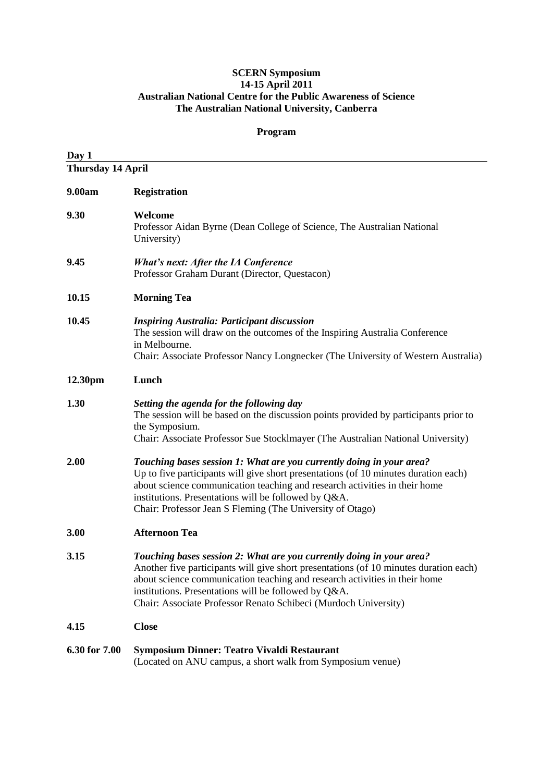## **SCERN Symposium 14-15 April 2011 Australian National Centre for the Public Awareness of Science The Australian National University, Canberra**

## **Program**

| Day 1<br><b>Thursday 14 April</b> |                                                                                                                                                                                                                                                                                                                                                                        |
|-----------------------------------|------------------------------------------------------------------------------------------------------------------------------------------------------------------------------------------------------------------------------------------------------------------------------------------------------------------------------------------------------------------------|
|                                   |                                                                                                                                                                                                                                                                                                                                                                        |
| 9.30                              | Welcome<br>Professor Aidan Byrne (Dean College of Science, The Australian National<br>University)                                                                                                                                                                                                                                                                      |
| 9.45                              | <b>What's next: After the IA Conference</b><br>Professor Graham Durant (Director, Questacon)                                                                                                                                                                                                                                                                           |
| 10.15                             | <b>Morning Tea</b>                                                                                                                                                                                                                                                                                                                                                     |
| 10.45                             | <b>Inspiring Australia: Participant discussion</b><br>The session will draw on the outcomes of the Inspiring Australia Conference<br>in Melbourne.<br>Chair: Associate Professor Nancy Longnecker (The University of Western Australia)                                                                                                                                |
| 12.30pm                           | Lunch                                                                                                                                                                                                                                                                                                                                                                  |
| 1.30                              | Setting the agenda for the following day<br>The session will be based on the discussion points provided by participants prior to<br>the Symposium.<br>Chair: Associate Professor Sue StockImayer (The Australian National University)                                                                                                                                  |
| 2.00                              | Touching bases session 1: What are you currently doing in your area?<br>Up to five participants will give short presentations (of 10 minutes duration each)<br>about science communication teaching and research activities in their home<br>institutions. Presentations will be followed by Q&A.<br>Chair: Professor Jean S Fleming (The University of Otago)         |
| 3.00                              | <b>Afternoon Tea</b>                                                                                                                                                                                                                                                                                                                                                   |
| 3.15                              | Touching bases session 2: What are you currently doing in your area?<br>Another five participants will give short presentations (of 10 minutes duration each)<br>about science communication teaching and research activities in their home<br>institutions. Presentations will be followed by Q&A.<br>Chair: Associate Professor Renato Schibeci (Murdoch University) |
| 4.15                              | <b>Close</b>                                                                                                                                                                                                                                                                                                                                                           |
| 6.30 for 7.00                     | <b>Symposium Dinner: Teatro Vivaldi Restaurant</b><br>(Located on ANU campus, a short walk from Symposium venue)                                                                                                                                                                                                                                                       |